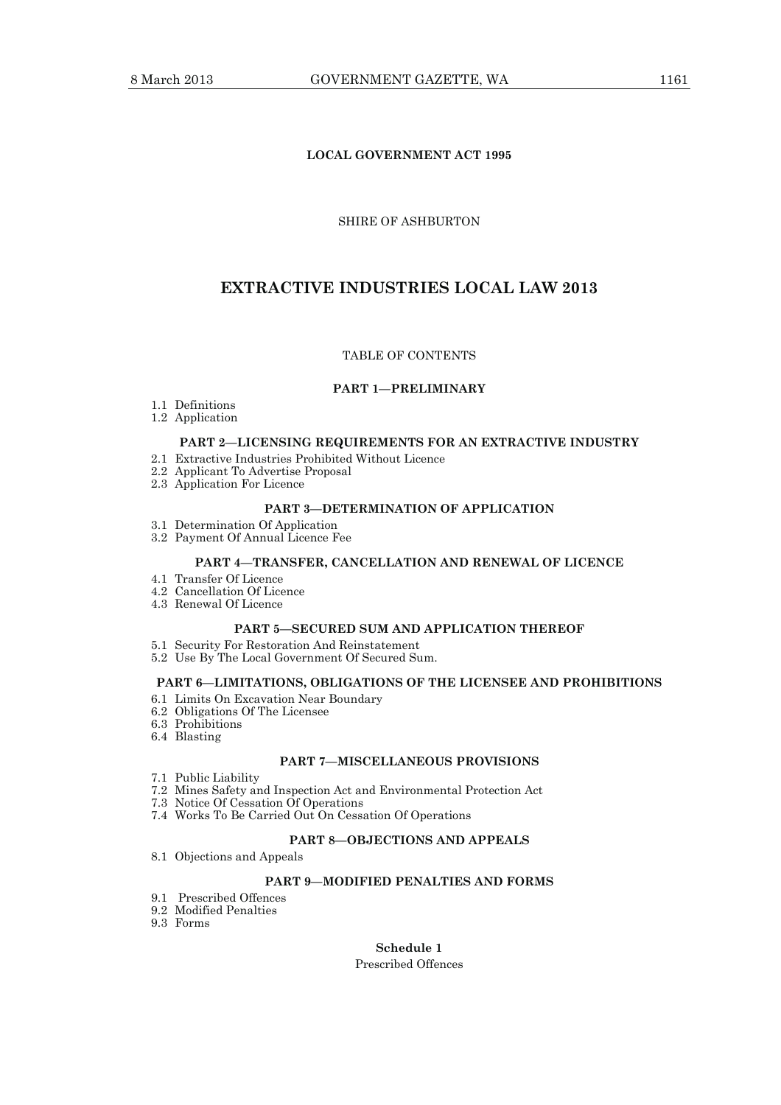# **LOCAL GOVERNMENT ACT 1995**

# SHIRE OF ASHBURTON

# **EXTRACTIVE INDUSTRIES LOCAL LAW 2013**

### TABLE OF CONTENTS

# **PART 1—PRELIMINARY**

- 1.1 Definitions
- 1.2 Application

# **PART 2—LICENSING REQUIREMENTS FOR AN EXTRACTIVE INDUSTRY**

- 2.1 Extractive Industries Prohibited Without Licence
- 2.2 Applicant To Advertise Proposal
- 2.3 Application For Licence

# **PART 3—DETERMINATION OF APPLICATION**

- 3.1 Determination Of Application
- 3.2 Payment Of Annual Licence Fee

#### **PART 4—TRANSFER, CANCELLATION AND RENEWAL OF LICENCE**

- 4.1 Transfer Of Licence
- 4.2 Cancellation Of Licence
- 4.3 Renewal Of Licence

# **PART 5—SECURED SUM AND APPLICATION THEREOF**

- 5.1 Security For Restoration And Reinstatement
- 5.2 Use By The Local Government Of Secured Sum.

## **PART 6—LIMITATIONS, OBLIGATIONS OF THE LICENSEE AND PROHIBITIONS**

- 6.1 Limits On Excavation Near Boundary
- 6.2 Obligations Of The Licensee
- 6.3 Prohibitions
- 6.4 Blasting

### **PART 7—MISCELLANEOUS PROVISIONS**

- 7.1 Public Liability
- 7.2 Mines Safety and Inspection Act and Environmental Protection Act
- 7.3 Notice Of Cessation Of Operations
- 7.4 Works To Be Carried Out On Cessation Of Operations

# **PART 8—OBJECTIONS AND APPEALS**

8.1 Objections and Appeals

# **PART 9—MODIFIED PENALTIES AND FORMS**

- 9.1 Prescribed Offences
- 9.2 Modified Penalties
- 9.3 Forms

#### Prescribed Offences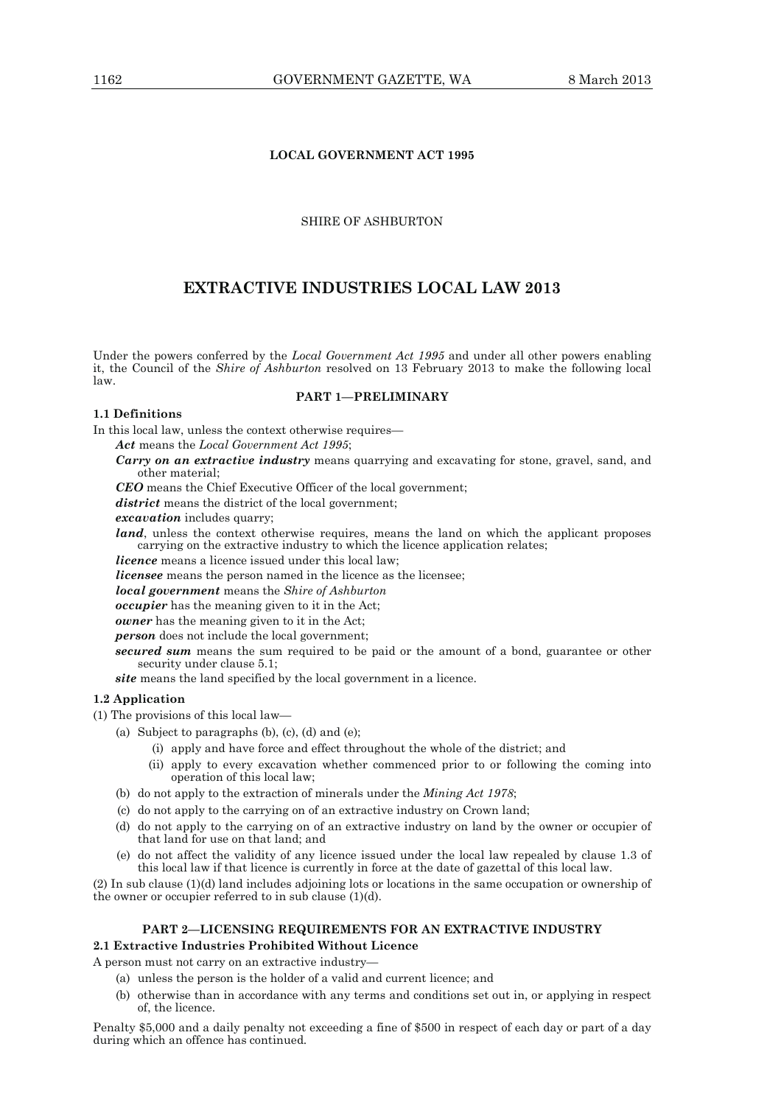# **LOCAL GOVERNMENT ACT 1995**

# SHIRE OF ASHBURTON

# **EXTRACTIVE INDUSTRIES LOCAL LAW 2013**

Under the powers conferred by the *Local Government Act 1995* and under all other powers enabling it, the Council of the *Shire of Ashburton* resolved on 13 February 2013 to make the following local law.

### **PART 1—PRELIMINARY**

# **1.1 Definitions**

In this local law, unless the context otherwise requires—

*Act* means the *Local Government Act 1995*;

*Carry on an extractive industry* means quarrying and excavating for stone, gravel, sand, and other material;

*CEO* means the Chief Executive Officer of the local government;

*district* means the district of the local government;

*excavation* includes quarry:

land, unless the context otherwise requires, means the land on which the applicant proposes carrying on the extractive industry to which the licence application relates;

*licence* means a licence issued under this local law;

*licensee* means the person named in the licence as the licensee;

*local government* means the *Shire of Ashburton* 

*occupier* has the meaning given to it in the Act;

*owner* has the meaning given to it in the Act;

*person* does not include the local government;

*secured sum* means the sum required to be paid or the amount of a bond, guarantee or other security under clause 5.1;

*site* means the land specified by the local government in a licence.

#### **1.2 Application**

- (1) The provisions of this local law—
	- (a) Subject to paragraphs (b), (c), (d) and (e);
		- (i) apply and have force and effect throughout the whole of the district; and
		- (ii) apply to every excavation whether commenced prior to or following the coming into operation of this local law;
	- (b) do not apply to the extraction of minerals under the *Mining Act 1978*;
	- (c) do not apply to the carrying on of an extractive industry on Crown land;
	- (d) do not apply to the carrying on of an extractive industry on land by the owner or occupier of that land for use on that land; and
	- (e) do not affect the validity of any licence issued under the local law repealed by clause 1.3 of this local law if that licence is currently in force at the date of gazettal of this local law.

(2) In sub clause (1)(d) land includes adjoining lots or locations in the same occupation or ownership of the owner or occupier referred to in sub clause (1)(d).

# **PART 2—LICENSING REQUIREMENTS FOR AN EXTRACTIVE INDUSTRY**

# **2.1 Extractive Industries Prohibited Without Licence**

A person must not carry on an extractive industry—

- (a) unless the person is the holder of a valid and current licence; and
- (b) otherwise than in accordance with any terms and conditions set out in, or applying in respect of, the licence.

Penalty \$5,000 and a daily penalty not exceeding a fine of \$500 in respect of each day or part of a day during which an offence has continued.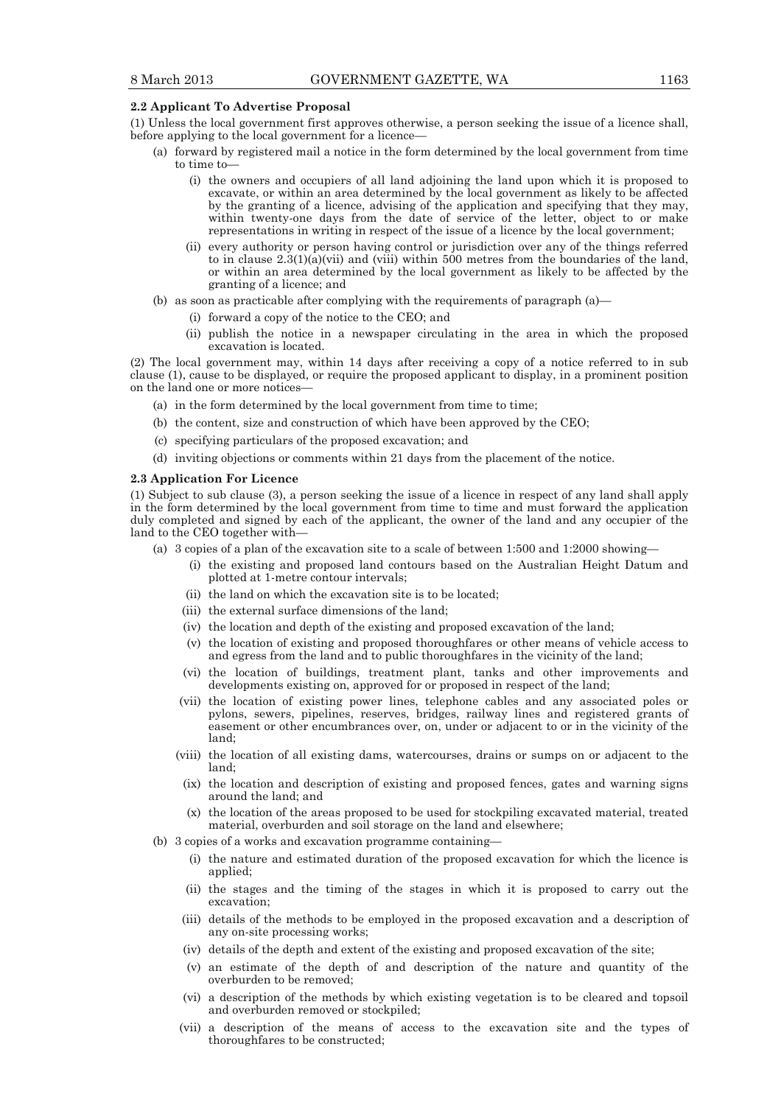#### **2.2 Applicant To Advertise Proposal**

- (1) Unless the local government first approves otherwise, a person seeking the issue of a licence shall, before applying to the local government for a licence—
	- (a) forward by registered mail a notice in the form determined by the local government from time to time to—
		- (i) the owners and occupiers of all land adjoining the land upon which it is proposed to excavate, or within an area determined by the local government as likely to be affected by the granting of a licence, advising of the application and specifying that they may, within twenty-one days from the date of service of the letter, object to or make representations in writing in respect of the issue of a licence by the local government;
		- (ii) every authority or person having control or jurisdiction over any of the things referred to in clause  $2.3(1)(a)(vii)$  and (viii) within 500 metres from the boundaries of the land, or within an area determined by the local government as likely to be affected by the granting of a licence; and
	- (b) as soon as practicable after complying with the requirements of paragraph (a)—
		- (i) forward a copy of the notice to the CEO; and
		- (ii) publish the notice in a newspaper circulating in the area in which the proposed excavation is located.

(2) The local government may, within 14 days after receiving a copy of a notice referred to in sub clause (1), cause to be displayed, or require the proposed applicant to display, in a prominent position on the land one or more notices—

- (a) in the form determined by the local government from time to time;
- (b) the content, size and construction of which have been approved by the CEO;
- (c) specifying particulars of the proposed excavation; and
- (d) inviting objections or comments within 21 days from the placement of the notice.

### **2.3 Application For Licence**

(1) Subject to sub clause (3), a person seeking the issue of a licence in respect of any land shall apply in the form determined by the local government from time to time and must forward the application duly completed and signed by each of the applicant, the owner of the land and any occupier of the land to the CEO together with—

- (a) 3 copies of a plan of the excavation site to a scale of between 1:500 and 1:2000 showing—
	- (i) the existing and proposed land contours based on the Australian Height Datum and plotted at 1-metre contour intervals;
	- (ii) the land on which the excavation site is to be located;
	- (iii) the external surface dimensions of the land;
	- (iv) the location and depth of the existing and proposed excavation of the land;
	- (v) the location of existing and proposed thoroughfares or other means of vehicle access to and egress from the land and to public thoroughfares in the vicinity of the land;
	- (vi) the location of buildings, treatment plant, tanks and other improvements and developments existing on, approved for or proposed in respect of the land;
	- (vii) the location of existing power lines, telephone cables and any associated poles or pylons, sewers, pipelines, reserves, bridges, railway lines and registered grants of easement or other encumbrances over, on, under or adjacent to or in the vicinity of the land;
	- (viii) the location of all existing dams, watercourses, drains or sumps on or adjacent to the land;
	- (ix) the location and description of existing and proposed fences, gates and warning signs around the land; and
	- (x) the location of the areas proposed to be used for stockpiling excavated material, treated material, overburden and soil storage on the land and elsewhere;
- (b) 3 copies of a works and excavation programme containing—
	- (i) the nature and estimated duration of the proposed excavation for which the licence is applied:
	- (ii) the stages and the timing of the stages in which it is proposed to carry out the excavation;
	- (iii) details of the methods to be employed in the proposed excavation and a description of any on-site processing works;
	- (iv) details of the depth and extent of the existing and proposed excavation of the site;
	- (v) an estimate of the depth of and description of the nature and quantity of the overburden to be removed;
	- (vi) a description of the methods by which existing vegetation is to be cleared and topsoil and overburden removed or stockpiled;
	- (vii) a description of the means of access to the excavation site and the types of thoroughfares to be constructed;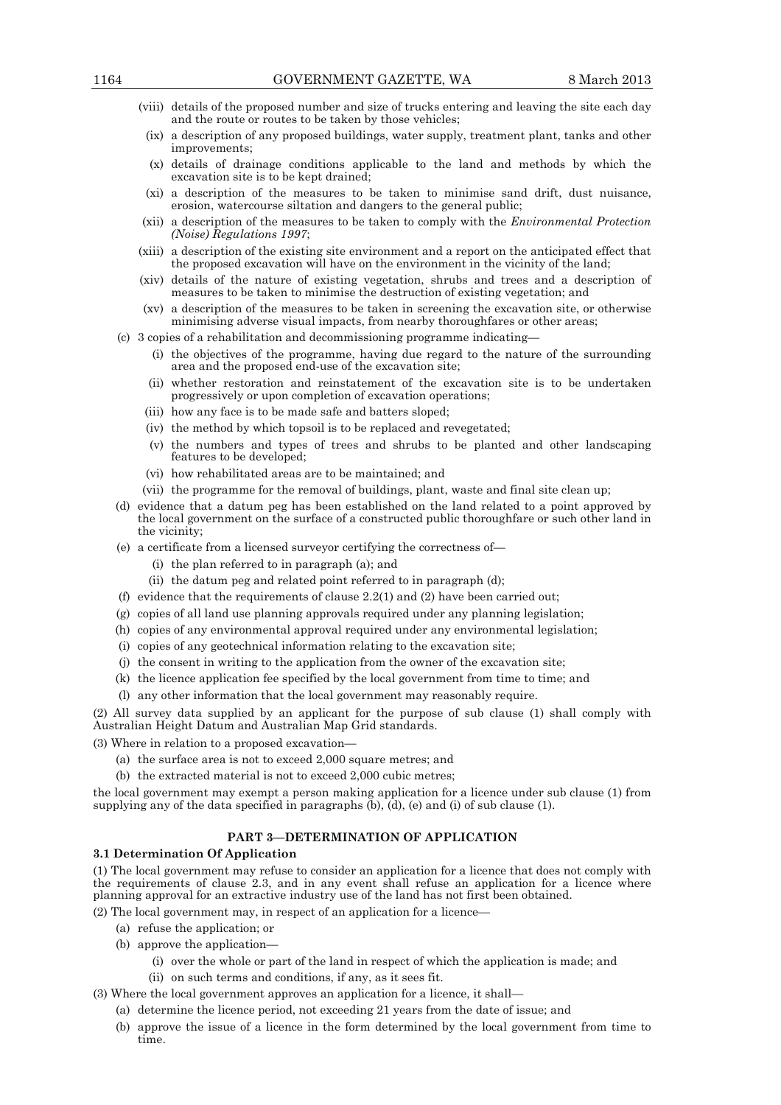- (viii) details of the proposed number and size of trucks entering and leaving the site each day and the route or routes to be taken by those vehicles;
	- (ix) a description of any proposed buildings, water supply, treatment plant, tanks and other improvements;
	- (x) details of drainage conditions applicable to the land and methods by which the excavation site is to be kept drained;
- (xi) a description of the measures to be taken to minimise sand drift, dust nuisance, erosion, watercourse siltation and dangers to the general public;
- (xii) a description of the measures to be taken to comply with the *Environmental Protection (Noise) Regulations 1997*;
- (xiii) a description of the existing site environment and a report on the anticipated effect that the proposed excavation will have on the environment in the vicinity of the land;
- (xiv) details of the nature of existing vegetation, shrubs and trees and a description of measures to be taken to minimise the destruction of existing vegetation; and
- (xv) a description of the measures to be taken in screening the excavation site, or otherwise minimising adverse visual impacts, from nearby thoroughfares or other areas;
- (c) 3 copies of a rehabilitation and decommissioning programme indicating—
	- (i) the objectives of the programme, having due regard to the nature of the surrounding area and the proposed end-use of the excavation site;
	- (ii) whether restoration and reinstatement of the excavation site is to be undertaken progressively or upon completion of excavation operations;
	- (iii) how any face is to be made safe and batters sloped;
	- (iv) the method by which topsoil is to be replaced and revegetated;
	- (v) the numbers and types of trees and shrubs to be planted and other landscaping features to be developed;
	- (vi) how rehabilitated areas are to be maintained; and
	- (vii) the programme for the removal of buildings, plant, waste and final site clean up;
- (d) evidence that a datum peg has been established on the land related to a point approved by the local government on the surface of a constructed public thoroughfare or such other land in the vicinity;
- (e) a certificate from a licensed surveyor certifying the correctness of—
	- (i) the plan referred to in paragraph (a); and
	- (ii) the datum peg and related point referred to in paragraph (d);
- (f) evidence that the requirements of clause  $2.2(1)$  and  $(2)$  have been carried out;
- (g) copies of all land use planning approvals required under any planning legislation;
- (h) copies of any environmental approval required under any environmental legislation;
- (i) copies of any geotechnical information relating to the excavation site;
- (j) the consent in writing to the application from the owner of the excavation site;
- (k) the licence application fee specified by the local government from time to time; and
- (l) any other information that the local government may reasonably require.

(2) All survey data supplied by an applicant for the purpose of sub clause (1) shall comply with Australian Height Datum and Australian Map Grid standards.

(3) Where in relation to a proposed excavation—

- (a) the surface area is not to exceed 2,000 square metres; and
- (b) the extracted material is not to exceed 2,000 cubic metres;

the local government may exempt a person making application for a licence under sub clause (1) from supplying any of the data specified in paragraphs (b), (d), (e) and (i) of sub clause (1).

### **PART 3—DETERMINATION OF APPLICATION**

### **3.1 Determination Of Application**

(1) The local government may refuse to consider an application for a licence that does not comply with the requirements of clause 2.3, and in any event shall refuse an application for a licence where planning approval for an extractive industry use of the land has not first been obtained.

(2) The local government may, in respect of an application for a licence—

- (a) refuse the application; or
- (b) approve the application—
	- (i) over the whole or part of the land in respect of which the application is made; and
	- (ii) on such terms and conditions, if any, as it sees fit.

(3) Where the local government approves an application for a licence, it shall—

- (a) determine the licence period, not exceeding 21 years from the date of issue; and
- (b) approve the issue of a licence in the form determined by the local government from time to time.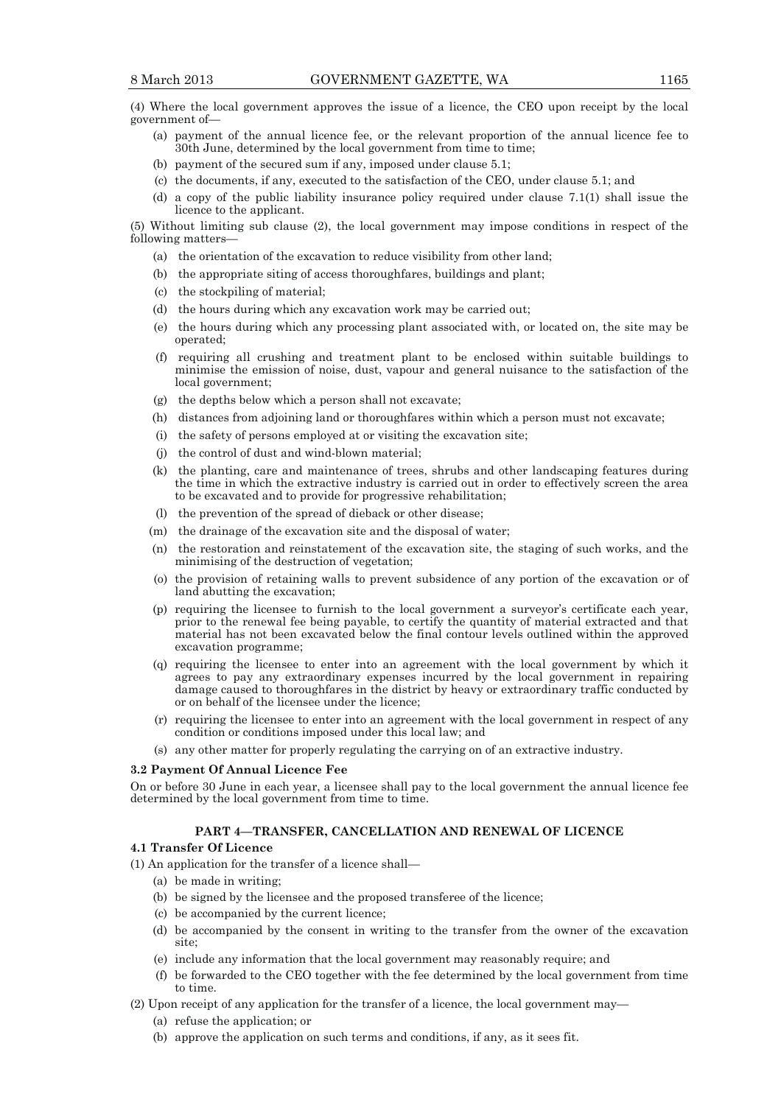(4) Where the local government approves the issue of a licence, the CEO upon receipt by the local government of—

- (a) payment of the annual licence fee, or the relevant proportion of the annual licence fee to 30th June, determined by the local government from time to time;
- (b) payment of the secured sum if any, imposed under clause 5.1;
- (c) the documents, if any, executed to the satisfaction of the CEO, under clause 5.1; and
- (d) a copy of the public liability insurance policy required under clause 7.1(1) shall issue the licence to the applicant.

(5) Without limiting sub clause (2), the local government may impose conditions in respect of the following matters—

- (a) the orientation of the excavation to reduce visibility from other land;
- (b) the appropriate siting of access thoroughfares, buildings and plant;
- (c) the stockpiling of material;
- (d) the hours during which any excavation work may be carried out;
- (e) the hours during which any processing plant associated with, or located on, the site may be operated;
- (f) requiring all crushing and treatment plant to be enclosed within suitable buildings to minimise the emission of noise, dust, vapour and general nuisance to the satisfaction of the local government;
- (g) the depths below which a person shall not excavate;
- (h) distances from adjoining land or thoroughfares within which a person must not excavate;
- (i) the safety of persons employed at or visiting the excavation site;
- (j) the control of dust and wind-blown material;
- (k) the planting, care and maintenance of trees, shrubs and other landscaping features during the time in which the extractive industry is carried out in order to effectively screen the area to be excavated and to provide for progressive rehabilitation;
- (l) the prevention of the spread of dieback or other disease;
- (m) the drainage of the excavation site and the disposal of water;
- (n) the restoration and reinstatement of the excavation site, the staging of such works, and the minimising of the destruction of vegetation;
- (o) the provision of retaining walls to prevent subsidence of any portion of the excavation or of land abutting the excavation;
- (p) requiring the licensee to furnish to the local government a surveyor's certificate each year, prior to the renewal fee being payable, to certify the quantity of material extracted and that material has not been excavated below the final contour levels outlined within the approved excavation programme;
- (q) requiring the licensee to enter into an agreement with the local government by which it agrees to pay any extraordinary expenses incurred by the local government in repairing damage caused to thoroughfares in the district by heavy or extraordinary traffic conducted by or on behalf of the licensee under the licence;
- (r) requiring the licensee to enter into an agreement with the local government in respect of any condition or conditions imposed under this local law; and
- (s) any other matter for properly regulating the carrying on of an extractive industry.

#### **3.2 Payment Of Annual Licence Fee**

On or before 30 June in each year, a licensee shall pay to the local government the annual licence fee determined by the local government from time to time.

#### **PART 4—TRANSFER, CANCELLATION AND RENEWAL OF LICENCE**

#### **4.1 Transfer Of Licence**

- (1) An application for the transfer of a licence shall—
	- (a) be made in writing;
	- (b) be signed by the licensee and the proposed transferee of the licence;
	- (c) be accompanied by the current licence;
	- (d) be accompanied by the consent in writing to the transfer from the owner of the excavation site;
	- (e) include any information that the local government may reasonably require; and
	- (f) be forwarded to the CEO together with the fee determined by the local government from time to time.
- (2) Upon receipt of any application for the transfer of a licence, the local government may—
	- (a) refuse the application; or
	- (b) approve the application on such terms and conditions, if any, as it sees fit.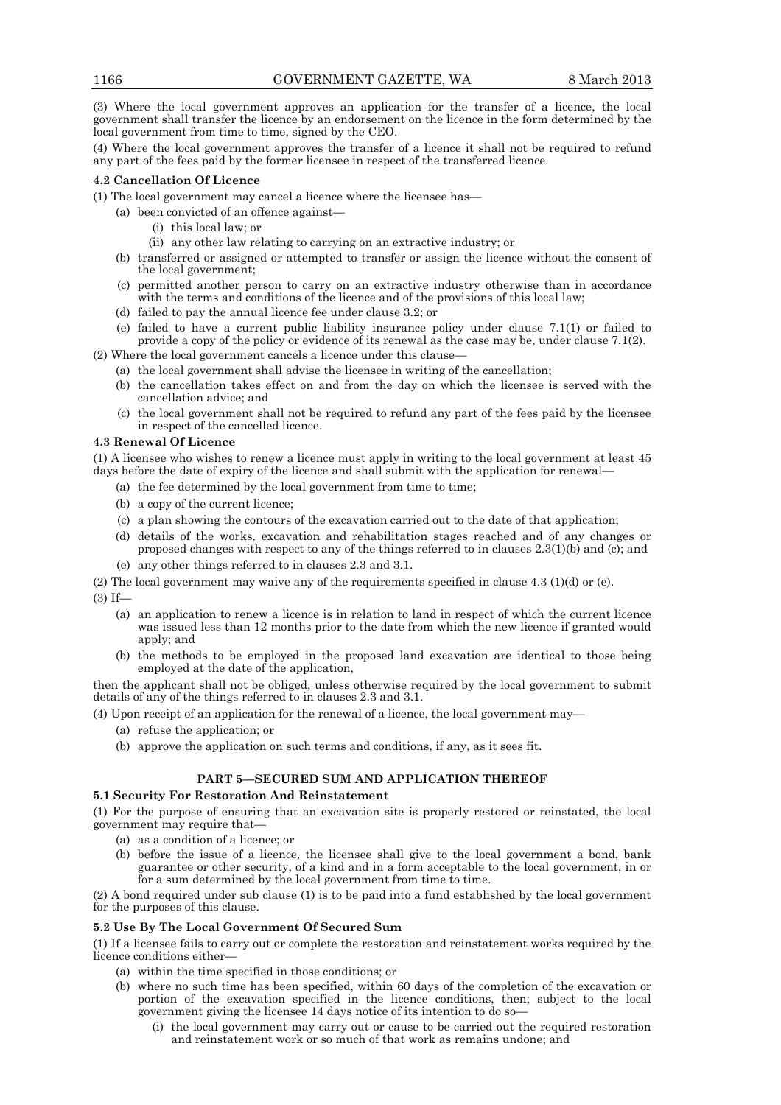(3) Where the local government approves an application for the transfer of a licence, the local government shall transfer the licence by an endorsement on the licence in the form determined by the local government from time to time, signed by the CEO.

(4) Where the local government approves the transfer of a licence it shall not be required to refund any part of the fees paid by the former licensee in respect of the transferred licence.

## **4.2 Cancellation Of Licence**

(1) The local government may cancel a licence where the licensee has—

- (a) been convicted of an offence against—
	- (i) this local law; or
	- (ii) any other law relating to carrying on an extractive industry; or
- (b) transferred or assigned or attempted to transfer or assign the licence without the consent of the local government;
- (c) permitted another person to carry on an extractive industry otherwise than in accordance with the terms and conditions of the licence and of the provisions of this local law;
- (d) failed to pay the annual licence fee under clause 3.2; or
- (e) failed to have a current public liability insurance policy under clause 7.1(1) or failed to provide a copy of the policy or evidence of its renewal as the case may be, under clause 7.1(2). (2) Where the local government cancels a licence under this clause—
	- (a) the local government shall advise the licensee in writing of the cancellation;
	- (b) the cancellation takes effect on and from the day on which the licensee is served with the cancellation advice; and
	- (c) the local government shall not be required to refund any part of the fees paid by the licensee in respect of the cancelled licence.

# **4.3 Renewal Of Licence**

(1) A licensee who wishes to renew a licence must apply in writing to the local government at least 45 days before the date of expiry of the licence and shall submit with the application for renewal—

- (a) the fee determined by the local government from time to time;
- (b) a copy of the current licence;
- (c) a plan showing the contours of the excavation carried out to the date of that application;
- (d) details of the works, excavation and rehabilitation stages reached and of any changes or proposed changes with respect to any of the things referred to in clauses 2.3(1)(b) and (c); and
- (e) any other things referred to in clauses 2.3 and 3.1.

(2) The local government may waive any of the requirements specified in clause 4.3 (1)(d) or (e).

(3) If—

- (a) an application to renew a licence is in relation to land in respect of which the current licence was issued less than 12 months prior to the date from which the new licence if granted would apply; and
- (b) the methods to be employed in the proposed land excavation are identical to those being employed at the date of the application,

then the applicant shall not be obliged, unless otherwise required by the local government to submit details of any of the things referred to in clauses 2.3 and 3.1.

- (4) Upon receipt of an application for the renewal of a licence, the local government may—
	- (a) refuse the application; or
	- (b) approve the application on such terms and conditions, if any, as it sees fit.

# **PART 5—SECURED SUM AND APPLICATION THEREOF**

### **5.1 Security For Restoration And Reinstatement**

(1) For the purpose of ensuring that an excavation site is properly restored or reinstated, the local government may require that—

- (a) as a condition of a licence; or
- (b) before the issue of a licence, the licensee shall give to the local government a bond, bank guarantee or other security, of a kind and in a form acceptable to the local government, in or for a sum determined by the local government from time to time.

(2) A bond required under sub clause (1) is to be paid into a fund established by the local government for the purposes of this clause.

# **5.2 Use By The Local Government Of Secured Sum**

(1) If a licensee fails to carry out or complete the restoration and reinstatement works required by the licence conditions either—

- (a) within the time specified in those conditions; or
- (b) where no such time has been specified, within 60 days of the completion of the excavation or portion of the excavation specified in the licence conditions, then; subject to the local government giving the licensee 14 days notice of its intention to do so—
	- (i) the local government may carry out or cause to be carried out the required restoration and reinstatement work or so much of that work as remains undone; and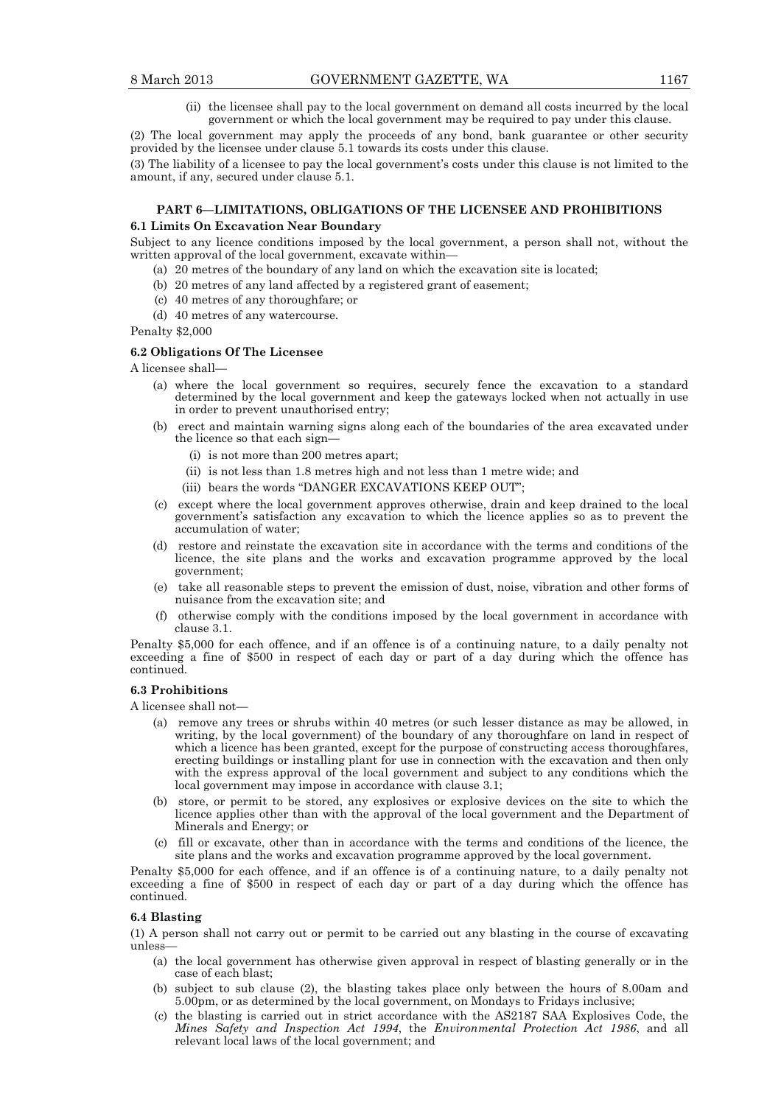(ii) the licensee shall pay to the local government on demand all costs incurred by the local government or which the local government may be required to pay under this clause.

(2) The local government may apply the proceeds of any bond, bank guarantee or other security provided by the licensee under clause 5.1 towards its costs under this clause.

(3) The liability of a licensee to pay the local government's costs under this clause is not limited to the amount, if any, secured under clause 5.1.

# **PART 6—LIMITATIONS, OBLIGATIONS OF THE LICENSEE AND PROHIBITIONS 6.1 Limits On Excavation Near Boundary**

Subject to any licence conditions imposed by the local government, a person shall not, without the written approval of the local government, excavate within-

- (a) 20 metres of the boundary of any land on which the excavation site is located;
- (b) 20 metres of any land affected by a registered grant of easement;
- (c) 40 metres of any thoroughfare; or
- (d) 40 metres of any watercourse.

Penalty \$2,000

### **6.2 Obligations Of The Licensee**

A licensee shall—

- (a) where the local government so requires, securely fence the excavation to a standard determined by the local government and keep the gateways locked when not actually in use in order to prevent unauthorised entry;
- (b) erect and maintain warning signs along each of the boundaries of the area excavated under the licence so that each sign-
	- (i) is not more than 200 metres apart;
	- (ii) is not less than 1.8 metres high and not less than 1 metre wide; and
	- (iii) bears the words "DANGER EXCAVATIONS KEEP OUT";
- (c) except where the local government approves otherwise, drain and keep drained to the local government's satisfaction any excavation to which the licence applies so as to prevent the accumulation of water;
- (d) restore and reinstate the excavation site in accordance with the terms and conditions of the licence, the site plans and the works and excavation programme approved by the local government;
- (e) take all reasonable steps to prevent the emission of dust, noise, vibration and other forms of nuisance from the excavation site; and
- (f) otherwise comply with the conditions imposed by the local government in accordance with clause 3.1.

Penalty \$5,000 for each offence, and if an offence is of a continuing nature, to a daily penalty not exceeding a fine of \$500 in respect of each day or part of a day during which the offence has continued.

### **6.3 Prohibitions**

A licensee shall not—

- (a) remove any trees or shrubs within 40 metres (or such lesser distance as may be allowed, in writing, by the local government) of the boundary of any thoroughfare on land in respect of which a licence has been granted, except for the purpose of constructing access thoroughfares, erecting buildings or installing plant for use in connection with the excavation and then only with the express approval of the local government and subject to any conditions which the local government may impose in accordance with clause 3.1;
- (b) store, or permit to be stored, any explosives or explosive devices on the site to which the licence applies other than with the approval of the local government and the Department of Minerals and Energy; or
- (c) fill or excavate, other than in accordance with the terms and conditions of the licence, the site plans and the works and excavation programme approved by the local government.

Penalty \$5,000 for each offence, and if an offence is of a continuing nature, to a daily penalty not exceeding a fine of \$500 in respect of each day or part of a day during which the offence has continued.

#### **6.4 Blasting**

(1) A person shall not carry out or permit to be carried out any blasting in the course of excavating unless—

- (a) the local government has otherwise given approval in respect of blasting generally or in the case of each blast;
- (b) subject to sub clause (2), the blasting takes place only between the hours of 8.00am and 5.00pm, or as determined by the local government, on Mondays to Fridays inclusive;
- (c) the blasting is carried out in strict accordance with the AS2187 SAA Explosives Code, the *Mines Safety and Inspection Act 1994*, the *Environmental Protection Act 1986*, and all relevant local laws of the local government; and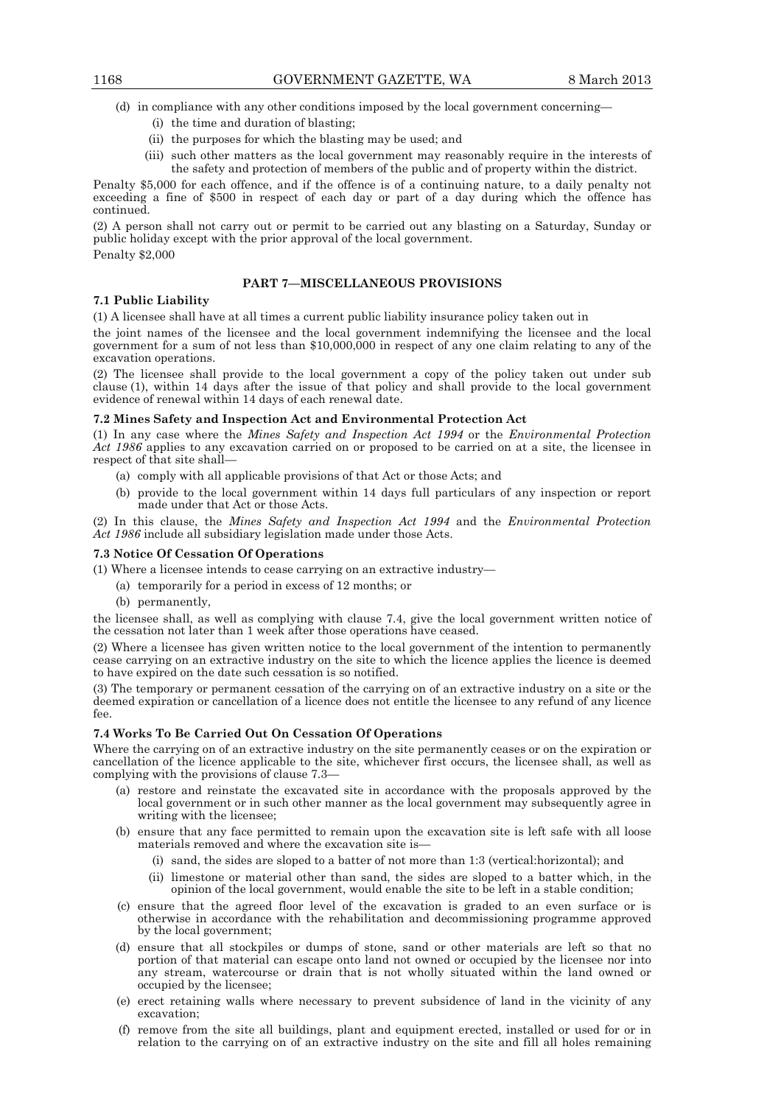- (d) in compliance with any other conditions imposed by the local government concerning—
	- (i) the time and duration of blasting;
	- (ii) the purposes for which the blasting may be used; and
	- (iii) such other matters as the local government may reasonably require in the interests of the safety and protection of members of the public and of property within the district.

Penalty \$5,000 for each offence, and if the offence is of a continuing nature, to a daily penalty not exceeding a fine of \$500 in respect of each day or part of a day during which the offence has continued.

(2) A person shall not carry out or permit to be carried out any blasting on a Saturday, Sunday or public holiday except with the prior approval of the local government. Penalty \$2,000

# **PART 7—MISCELLANEOUS PROVISIONS**

### **7.1 Public Liability**

(1) A licensee shall have at all times a current public liability insurance policy taken out in

the joint names of the licensee and the local government indemnifying the licensee and the local government for a sum of not less than \$10,000,000 in respect of any one claim relating to any of the excavation operations.

(2) The licensee shall provide to the local government a copy of the policy taken out under sub clause (1), within 14 days after the issue of that policy and shall provide to the local government evidence of renewal within 14 days of each renewal date.

### **7.2 Mines Safety and Inspection Act and Environmental Protection Act**

(1) In any case where the *Mines Safety and Inspection Act 1994* or the *Environmental Protection Act 1986* applies to any excavation carried on or proposed to be carried on at a site, the licensee in respect of that site shall—

- (a) comply with all applicable provisions of that Act or those Acts; and
- (b) provide to the local government within 14 days full particulars of any inspection or report made under that Act or those Acts.

(2) In this clause, the *Mines Safety and Inspection Act 1994* and the *Environmental Protection Act 1986* include all subsidiary legislation made under those Acts.

### **7.3 Notice Of Cessation Of Operations**

(1) Where a licensee intends to cease carrying on an extractive industry—

- (a) temporarily for a period in excess of 12 months; or
- (b) permanently,

the licensee shall, as well as complying with clause 7.4, give the local government written notice of the cessation not later than 1 week after those operations have ceased.

(2) Where a licensee has given written notice to the local government of the intention to permanently cease carrying on an extractive industry on the site to which the licence applies the licence is deemed to have expired on the date such cessation is so notified.

(3) The temporary or permanent cessation of the carrying on of an extractive industry on a site or the deemed expiration or cancellation of a licence does not entitle the licensee to any refund of any licence fee.

### **7.4 Works To Be Carried Out On Cessation Of Operations**

Where the carrying on of an extractive industry on the site permanently ceases or on the expiration or cancellation of the licence applicable to the site, whichever first occurs, the licensee shall, as well as complying with the provisions of clause 7.3—

- (a) restore and reinstate the excavated site in accordance with the proposals approved by the local government or in such other manner as the local government may subsequently agree in writing with the licensee;
- (b) ensure that any face permitted to remain upon the excavation site is left safe with all loose materials removed and where the excavation site is—
	- (i) sand, the sides are sloped to a batter of not more than 1:3 (vertical:horizontal); and
	- (ii) limestone or material other than sand, the sides are sloped to a batter which, in the opinion of the local government, would enable the site to be left in a stable condition;
- (c) ensure that the agreed floor level of the excavation is graded to an even surface or is otherwise in accordance with the rehabilitation and decommissioning programme approved by the local government;
- (d) ensure that all stockpiles or dumps of stone, sand or other materials are left so that no portion of that material can escape onto land not owned or occupied by the licensee nor into any stream, watercourse or drain that is not wholly situated within the land owned or occupied by the licensee;
- (e) erect retaining walls where necessary to prevent subsidence of land in the vicinity of any excavation;
- (f) remove from the site all buildings, plant and equipment erected, installed or used for or in relation to the carrying on of an extractive industry on the site and fill all holes remaining